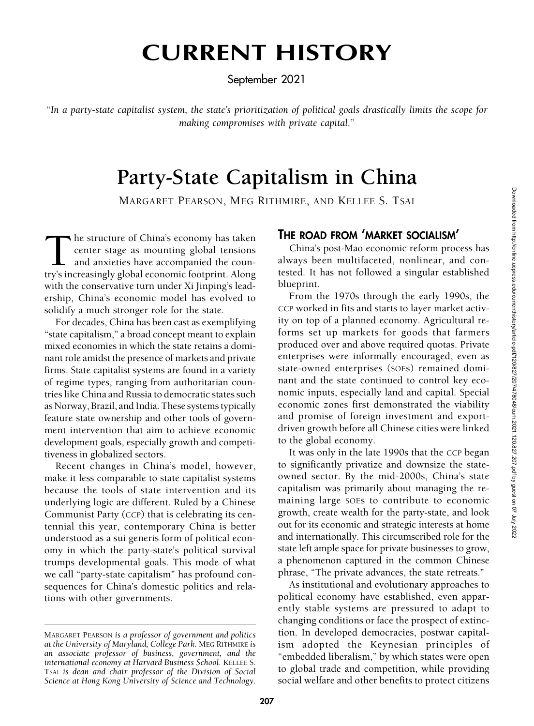# CURRENT HISTORY

September 2021

"In a party-state capitalist system, the state's prioritization of political goals drastically limits the scope for making compromises with private capital."

# Party-State Capitalism in China

MARGARET PEARSON, MEG RITHMIRE, AND KELLEE S. TSAI

The structure of China's economy has taken<br>center stage as mounting global tensions<br>and anxieties have accompanied the coun-<br>try's increasingly global economic footprint. Along center stage as mounting global tensions and anxieties have accompanied the country's increasingly global economic footprint. Along with the conservative turn under Xi Jinping's leadership, China's economic model has evolved to solidify a much stronger role for the state.

For decades, China has been cast as exemplifying "state capitalism," a broad concept meant to explain mixed economies in which the state retains a dominant role amidst the presence of markets and private firms. State capitalist systems are found in a variety of regime types, ranging from authoritarian countries like China and Russia to democratic states such as Norway, Brazil, and India. These systems typically feature state ownership and other tools of government intervention that aim to achieve economic development goals, especially growth and competitiveness in globalized sectors.

Recent changes in China's model, however, make it less comparable to state capitalist systems because the tools of state intervention and its underlying logic are different. Ruled by a Chinese Communist Party (CCP) that is celebrating its centennial this year, contemporary China is better understood as a sui generis form of political economy in which the party-state's political survival trumps developmental goals. This mode of what we call "party-state capitalism" has profound consequences for China's domestic politics and relations with other governments.

# THE ROAD FROM 'MARKET SOCIALISM'

China's post-Mao economic reform process has always been multifaceted, nonlinear, and contested. It has not followed a singular established blueprint.

From the 1970s through the early 1990s, the CCP worked in fits and starts to layer market activity on top of a planned economy. Agricultural reforms set up markets for goods that farmers produced over and above required quotas. Private enterprises were informally encouraged, even as state-owned enterprises (SOEs) remained dominant and the state continued to control key economic inputs, especially land and capital. Special economic zones first demonstrated the viability and promise of foreign investment and exportdriven growth before all Chinese cities were linked to the global economy.

It was only in the late 1990s that the CCP began to significantly privatize and downsize the stateowned sector. By the mid-2000s, China's state capitalism was primarily about managing the remaining large SOEs to contribute to economic growth, create wealth for the party-state, and look out for its economic and strategic interests at home and internationally. This circumscribed role for the state left ample space for private businesses to grow, a phenomenon captured in the common Chinese phrase, "The private advances, the state retreats."

As institutional and evolutionary approaches to political economy have established, even apparently stable systems are pressured to adapt to changing conditions or face the prospect of extinction. In developed democracies, postwar capitalism adopted the Keynesian principles of "embedded liberalism," by which states were open to global trade and competition, while providing social welfare and other benefits to protect citizens

MARGARET PEARSON is a professor of government and politics at the University of Maryland, College Park. MEG RITHMIRE is an associate professor of business, government, and the international economy at Harvard Business School. KELLEE S. TSAI is dean and chair professor of the Division of Social Science at Hong Kong University of Science and Technology.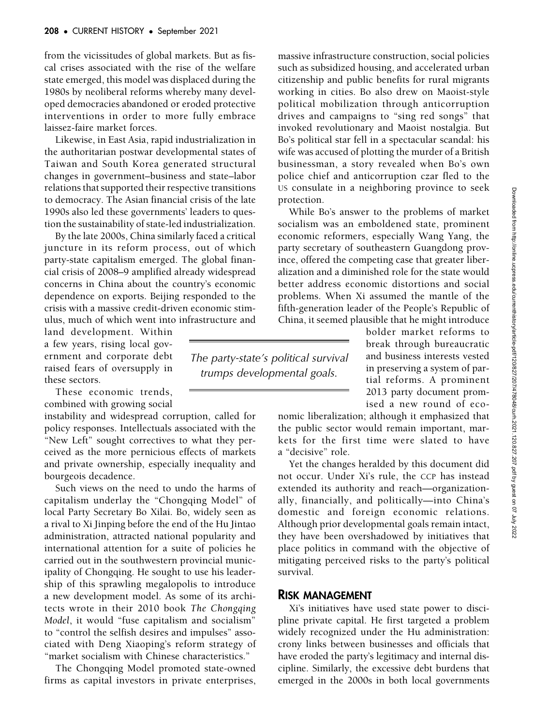from the vicissitudes of global markets. But as fiscal crises associated with the rise of the welfare state emerged, this model was displaced during the 1980s by neoliberal reforms whereby many developed democracies abandoned or eroded protective interventions in order to more fully embrace laissez-faire market forces.

Likewise, in East Asia, rapid industrialization in the authoritarian postwar developmental states of Taiwan and South Korea generated structural changes in government–business and state–labor relations that supported their respective transitions to democracy. The Asian financial crisis of the late 1990s also led these governments' leaders to question the sustainability of state-led industrialization.

By the late 2000s, China similarly faced a critical juncture in its reform process, out of which party-state capitalism emerged. The global financial crisis of 2008–9 amplified already widespread concerns in China about the country's economic dependence on exports. Beijing responded to the crisis with a massive credit-driven economic stimulus, much of which went into infrastructure and

land development. Within a few years, rising local government and corporate debt raised fears of oversupply in these sectors.

These economic trends, combined with growing social

instability and widespread corruption, called for policy responses. Intellectuals associated with the "New Left" sought correctives to what they perceived as the more pernicious effects of markets and private ownership, especially inequality and bourgeois decadence.

Such views on the need to undo the harms of capitalism underlay the "Chongqing Model" of local Party Secretary Bo Xilai. Bo, widely seen as a rival to Xi Jinping before the end of the Hu Jintao administration, attracted national popularity and international attention for a suite of policies he carried out in the southwestern provincial municipality of Chongqing. He sought to use his leadership of this sprawling megalopolis to introduce a new development model. As some of its architects wrote in their 2010 book The Chongqing Model, it would "fuse capitalism and socialism" to "control the selfish desires and impulses" associated with Deng Xiaoping's reform strategy of "market socialism with Chinese characteristics."

The Chongqing Model promoted state-owned firms as capital investors in private enterprises, massive infrastructure construction, social policies such as subsidized housing, and accelerated urban citizenship and public benefits for rural migrants working in cities. Bo also drew on Maoist-style political mobilization through anticorruption drives and campaigns to "sing red songs" that invoked revolutionary and Maoist nostalgia. But Bo's political star fell in a spectacular scandal: his wife was accused of plotting the murder of a British businessman, a story revealed when Bo's own police chief and anticorruption czar fled to the US consulate in a neighboring province to seek protection.

While Bo's answer to the problems of market socialism was an emboldened state, prominent economic reformers, especially Wang Yang, the party secretary of southeastern Guangdong province, offered the competing case that greater liberalization and a diminished role for the state would better address economic distortions and social problems. When Xi assumed the mantle of the fifth-generation leader of the People's Republic of China, it seemed plausible that he might introduce

> bolder market reforms to break through bureaucratic and business interests vested in preserving a system of partial reforms. A prominent 2013 party document promised a new round of eco-

nomic liberalization; although it emphasized that the public sector would remain important, markets for the first time were slated to have a "decisive" role.

Yet the changes heralded by this document did not occur. Under Xi's rule, the CCP has instead extended its authority and reach—organizationally, financially, and politically—into China's domestic and foreign economic relations. Although prior developmental goals remain intact, they have been overshadowed by initiatives that place politics in command with the objective of mitigating perceived risks to the party's political survival.

#### RISK MANAGEMENT

The party-state's political survival trumps developmental goals.

> Xi's initiatives have used state power to discipline private capital. He first targeted a problem widely recognized under the Hu administration: crony links between businesses and officials that have eroded the party's legitimacy and internal discipline. Similarly, the excessive debt burdens that emerged in the 2000s in both local governments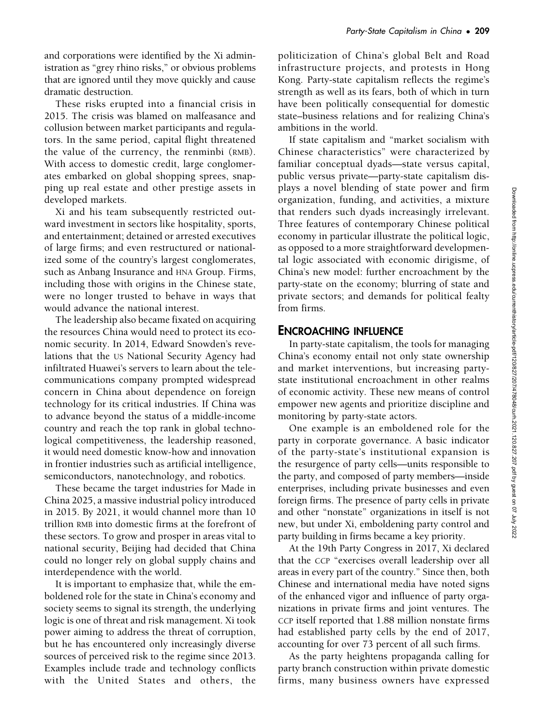and corporations were identified by the Xi administration as "grey rhino risks," or obvious problems that are ignored until they move quickly and cause dramatic destruction.

These risks erupted into a financial crisis in 2015. The crisis was blamed on malfeasance and collusion between market participants and regulators. In the same period, capital flight threatened the value of the currency, the renminbi (RMB). With access to domestic credit, large conglomerates embarked on global shopping sprees, snapping up real estate and other prestige assets in developed markets.

Xi and his team subsequently restricted outward investment in sectors like hospitality, sports, and entertainment; detained or arrested executives of large firms; and even restructured or nationalized some of the country's largest conglomerates, such as Anbang Insurance and HNA Group. Firms, including those with origins in the Chinese state, were no longer trusted to behave in ways that would advance the national interest.

The leadership also became fixated on acquiring the resources China would need to protect its economic security. In 2014, Edward Snowden's revelations that the US National Security Agency had infiltrated Huawei's servers to learn about the telecommunications company prompted widespread concern in China about dependence on foreign technology for its critical industries. If China was to advance beyond the status of a middle-income country and reach the top rank in global technological competitiveness, the leadership reasoned, it would need domestic know-how and innovation in frontier industries such as artificial intelligence, semiconductors, nanotechnology, and robotics.

These became the target industries for Made in China 2025, a massive industrial policy introduced in 2015. By 2021, it would channel more than 10 trillion RMB into domestic firms at the forefront of these sectors. To grow and prosper in areas vital to national security, Beijing had decided that China could no longer rely on global supply chains and interdependence with the world.

It is important to emphasize that, while the emboldened role for the state in China's economy and society seems to signal its strength, the underlying logic is one of threat and risk management. Xi took power aiming to address the threat of corruption, but he has encountered only increasingly diverse sources of perceived risk to the regime since 2013. Examples include trade and technology conflicts with the United States and others, the politicization of China's global Belt and Road infrastructure projects, and protests in Hong Kong. Party-state capitalism reflects the regime's strength as well as its fears, both of which in turn have been politically consequential for domestic state–business relations and for realizing China's ambitions in the world.

If state capitalism and "market socialism with Chinese characteristics" were characterized by familiar conceptual dyads—state versus capital, public versus private—party-state capitalism displays a novel blending of state power and firm organization, funding, and activities, a mixture that renders such dyads increasingly irrelevant. Three features of contemporary Chinese political economy in particular illustrate the political logic, as opposed to a more straightforward developmental logic associated with economic dirigisme, of China's new model: further encroachment by the party-state on the economy; blurring of state and private sectors; and demands for political fealty from firms.

## ENCROACHING INFLUENCE

In party-state capitalism, the tools for managing China's economy entail not only state ownership and market interventions, but increasing partystate institutional encroachment in other realms of economic activity. These new means of control empower new agents and prioritize discipline and monitoring by party-state actors.

One example is an emboldened role for the party in corporate governance. A basic indicator of the party-state's institutional expansion is the resurgence of party cells—units responsible to the party, and composed of party members—inside enterprises, including private businesses and even foreign firms. The presence of party cells in private and other "nonstate" organizations in itself is not new, but under Xi, emboldening party control and party building in firms became a key priority.

At the 19th Party Congress in 2017, Xi declared that the CCP "exercises overall leadership over all areas in every part of the country." Since then, both Chinese and international media have noted signs of the enhanced vigor and influence of party organizations in private firms and joint ventures. The CCP itself reported that 1.88 million nonstate firms had established party cells by the end of 2017, accounting for over 73 percent of all such firms.

As the party heightens propaganda calling for party branch construction within private domestic firms, many business owners have expressed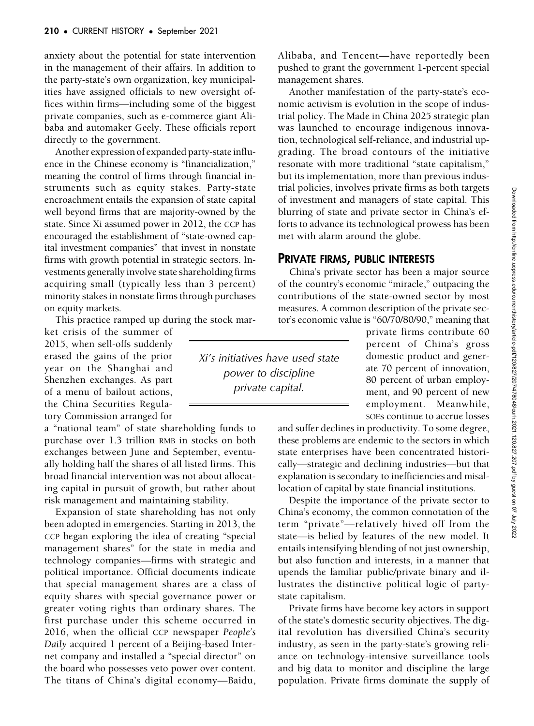anxiety about the potential for state intervention in the management of their affairs. In addition to the party-state's own organization, key municipalities have assigned officials to new oversight offices within firms—including some of the biggest private companies, such as e-commerce giant Alibaba and automaker Geely. These officials report directly to the government.

Another expression of expanded party-state influence in the Chinese economy is "financialization," meaning the control of firms through financial instruments such as equity stakes. Party-state encroachment entails the expansion of state capital well beyond firms that are majority-owned by the state. Since Xi assumed power in 2012, the CCP has encouraged the establishment of "state-owned capital investment companies" that invest in nonstate firms with growth potential in strategic sectors. Investments generally involve state shareholding firms acquiring small (typically less than 3 percent) minority stakes in nonstate firms through purchases on equity markets.

This practice ramped up during the stock mar-

ket crisis of the summer of 2015, when sell-offs suddenly erased the gains of the prior year on the Shanghai and Shenzhen exchanges. As part of a menu of bailout actions, the China Securities Regulatory Commission arranged for

a "national team" of state shareholding funds to purchase over 1.3 trillion RMB in stocks on both exchanges between June and September, eventually holding half the shares of all listed firms. This broad financial intervention was not about allocating capital in pursuit of growth, but rather about risk management and maintaining stability.

Expansion of state shareholding has not only been adopted in emergencies. Starting in 2013, the CCP began exploring the idea of creating "special management shares" for the state in media and technology companies—firms with strategic and political importance. Official documents indicate that special management shares are a class of equity shares with special governance power or greater voting rights than ordinary shares. The first purchase under this scheme occurred in 2016, when the official CCP newspaper People's Daily acquired 1 percent of a Beijing-based Internet company and installed a "special director" on the board who possesses veto power over content. The titans of China's digital economy—Baidu,

Alibaba, and Tencent—have reportedly been pushed to grant the government 1-percent special management shares.

Another manifestation of the party-state's economic activism is evolution in the scope of industrial policy. The Made in China 2025 strategic plan was launched to encourage indigenous innovation, technological self-reliance, and industrial upgrading. The broad contours of the initiative resonate with more traditional "state capitalism," but its implementation, more than previous industrial policies, involves private firms as both targets of investment and managers of state capital. This blurring of state and private sector in China's efforts to advance its technological prowess has been met with alarm around the globe.

#### PRIVATE FIRMS, PUBLIC INTERESTS

Xi's initiatives have used state power to discipline private capital.

China's private sector has been a major source of the country's economic "miracle," outpacing the contributions of the state-owned sector by most measures. A common description of the private sector's economic value is "60/70/80/90," meaning that

> private firms contribute 60 percent of China's gross domestic product and generate 70 percent of innovation, 80 percent of urban employment, and 90 percent of new employment. Meanwhile, SOEs continue to accrue losses

and suffer declines in productivity. To some degree, these problems are endemic to the sectors in which state enterprises have been concentrated historically—strategic and declining industries—but that explanation is secondary to inefficiencies and misallocation of capital by state financial institutions.

Despite the importance of the private sector to China's economy, the common connotation of the term "private"—relatively hived off from the state—is belied by features of the new model. It entails intensifying blending of not just ownership, but also function and interests, in a manner that upends the familiar public/private binary and illustrates the distinctive political logic of partystate capitalism.

Private firms have become key actors in support of the state's domestic security objectives. The digital revolution has diversified China's security industry, as seen in the party-state's growing reliance on technology-intensive surveillance tools and big data to monitor and discipline the large population. Private firms dominate the supply of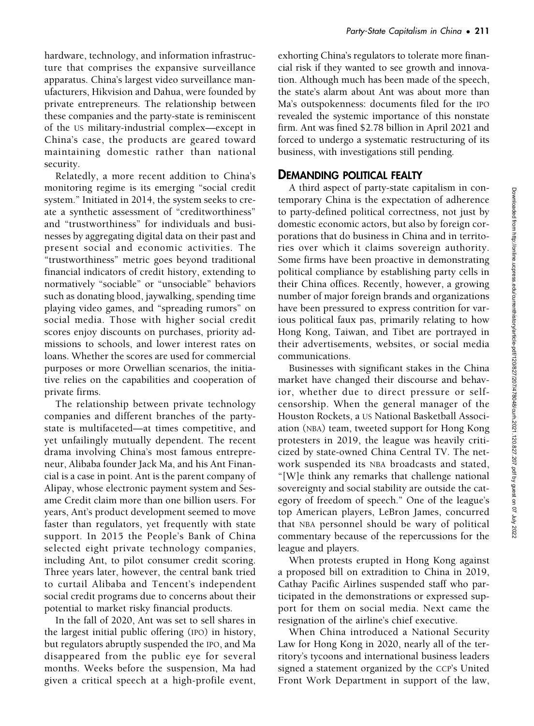hardware, technology, and information infrastructure that comprises the expansive surveillance apparatus. China's largest video surveillance manufacturers, Hikvision and Dahua, were founded by private entrepreneurs. The relationship between these companies and the party-state is reminiscent of the US military-industrial complex—except in China's case, the products are geared toward maintaining domestic rather than national security.

Relatedly, a more recent addition to China's monitoring regime is its emerging "social credit system." Initiated in 2014, the system seeks to create a synthetic assessment of "creditworthiness" and "trustworthiness" for individuals and businesses by aggregating digital data on their past and present social and economic activities. The "trustworthiness" metric goes beyond traditional financial indicators of credit history, extending to normatively "sociable" or "unsociable" behaviors such as donating blood, jaywalking, spending time playing video games, and "spreading rumors" on social media. Those with higher social credit scores enjoy discounts on purchases, priority admissions to schools, and lower interest rates on loans. Whether the scores are used for commercial purposes or more Orwellian scenarios, the initiative relies on the capabilities and cooperation of private firms.

The relationship between private technology companies and different branches of the partystate is multifaceted—at times competitive, and yet unfailingly mutually dependent. The recent drama involving China's most famous entrepreneur, Alibaba founder Jack Ma, and his Ant Financial is a case in point. Ant is the parent company of Alipay, whose electronic payment system and Sesame Credit claim more than one billion users. For years, Ant's product development seemed to move faster than regulators, yet frequently with state support. In 2015 the People's Bank of China selected eight private technology companies, including Ant, to pilot consumer credit scoring. Three years later, however, the central bank tried to curtail Alibaba and Tencent's independent social credit programs due to concerns about their potential to market risky financial products.

In the fall of 2020, Ant was set to sell shares in the largest initial public offering (IPO) in history, but regulators abruptly suspended the IPO, and Ma disappeared from the public eye for several months. Weeks before the suspension, Ma had given a critical speech at a high-profile event,

exhorting China's regulators to tolerate more financial risk if they wanted to see growth and innovation. Although much has been made of the speech, the state's alarm about Ant was about more than Ma's outspokenness: documents filed for the IPO revealed the systemic importance of this nonstate firm. Ant was fined \$2.78 billion in April 2021 and forced to undergo a systematic restructuring of its business, with investigations still pending.

#### DEMANDING POLITICAL FEALTY

A third aspect of party-state capitalism in contemporary China is the expectation of adherence to party-defined political correctness, not just by domestic economic actors, but also by foreign corporations that do business in China and in territories over which it claims sovereign authority. Some firms have been proactive in demonstrating political compliance by establishing party cells in their China offices. Recently, however, a growing number of major foreign brands and organizations have been pressured to express contrition for various political faux pas, primarily relating to how Hong Kong, Taiwan, and Tibet are portrayed in their advertisements, websites, or social media communications.

Businesses with significant stakes in the China market have changed their discourse and behavior, whether due to direct pressure or selfcensorship. When the general manager of the Houston Rockets, a US National Basketball Association (NBA) team, tweeted support for Hong Kong protesters in 2019, the league was heavily criticized by state-owned China Central TV. The network suspended its NBA broadcasts and stated, "[W]e think any remarks that challenge national sovereignty and social stability are outside the category of freedom of speech." One of the league's top American players, LeBron James, concurred that NBA personnel should be wary of political commentary because of the repercussions for the league and players.

When protests erupted in Hong Kong against a proposed bill on extradition to China in 2019, Cathay Pacific Airlines suspended staff who participated in the demonstrations or expressed support for them on social media. Next came the resignation of the airline's chief executive.

When China introduced a National Security Law for Hong Kong in 2020, nearly all of the territory's tycoons and international business leaders signed a statement organized by the CCP's United Front Work Department in support of the law,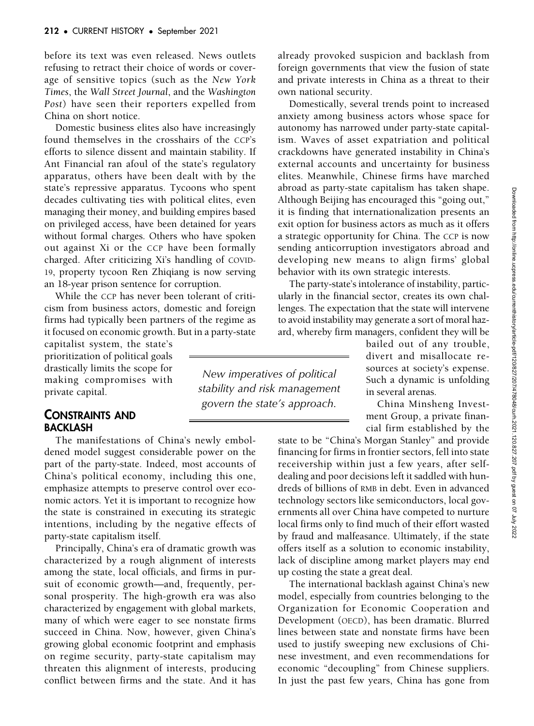before its text was even released. News outlets refusing to retract their choice of words or coverage of sensitive topics (such as the New York Times, the Wall Street Journal, and the Washington Post) have seen their reporters expelled from China on short notice.

Domestic business elites also have increasingly found themselves in the crosshairs of the CCP's efforts to silence dissent and maintain stability. If Ant Financial ran afoul of the state's regulatory apparatus, others have been dealt with by the state's repressive apparatus. Tycoons who spent decades cultivating ties with political elites, even managing their money, and building empires based on privileged access, have been detained for years without formal charges. Others who have spoken out against Xi or the CCP have been formally charged. After criticizing Xi's handling of COVID-19, property tycoon Ren Zhiqiang is now serving an 18-year prison sentence for corruption.

While the CCP has never been tolerant of criticism from business actors, domestic and foreign firms had typically been partners of the regime as it focused on economic growth. But in a party-state

capitalist system, the state's prioritization of political goals drastically limits the scope for making compromises with private capital.

#### CONSTRAINTS AND BACKLASH

The manifestations of China's newly emboldened model suggest considerable power on the part of the party-state. Indeed, most accounts of China's political economy, including this one, emphasize attempts to preserve control over economic actors. Yet it is important to recognize how the state is constrained in executing its strategic intentions, including by the negative effects of party-state capitalism itself.

Principally, China's era of dramatic growth was characterized by a rough alignment of interests among the state, local officials, and firms in pursuit of economic growth—and, frequently, personal prosperity. The high-growth era was also characterized by engagement with global markets, many of which were eager to see nonstate firms succeed in China. Now, however, given China's growing global economic footprint and emphasis on regime security, party-state capitalism may threaten this alignment of interests, producing conflict between firms and the state. And it has

already provoked suspicion and backlash from foreign governments that view the fusion of state and private interests in China as a threat to their own national security.

Domestically, several trends point to increased anxiety among business actors whose space for autonomy has narrowed under party-state capitalism. Waves of asset expatriation and political crackdowns have generated instability in China's external accounts and uncertainty for business elites. Meanwhile, Chinese firms have marched abroad as party-state capitalism has taken shape. Although Beijing has encouraged this "going out," it is finding that internationalization presents an exit option for business actors as much as it offers a strategic opportunity for China. The CCP is now sending anticorruption investigators abroad and developing new means to align firms' global behavior with its own strategic interests.

The party-state's intolerance of instability, particularly in the financial sector, creates its own challenges. The expectation that the state will intervene to avoid instability may generate a sort of moral hazard, whereby firm managers, confident they will be

New imperatives of political stability and risk management govern the state's approach.

bailed out of any trouble, divert and misallocate resources at society's expense. Such a dynamic is unfolding in several arenas.

China Minsheng Investment Group, a private financial firm established by the

state to be "China's Morgan Stanley" and provide financing for firms in frontier sectors, fell into state receivership within just a few years, after selfdealing and poor decisions left it saddled with hundreds of billions of RMB in debt. Even in advanced technology sectors like semiconductors, local governments all over China have competed to nurture local firms only to find much of their effort wasted by fraud and malfeasance. Ultimately, if the state offers itself as a solution to economic instability, lack of discipline among market players may end up costing the state a great deal.

The international backlash against China's new model, especially from countries belonging to the Organization for Economic Cooperation and Development (OECD), has been dramatic. Blurred lines between state and nonstate firms have been used to justify sweeping new exclusions of Chinese investment, and even recommendations for economic "decoupling" from Chinese suppliers. In just the past few years, China has gone from